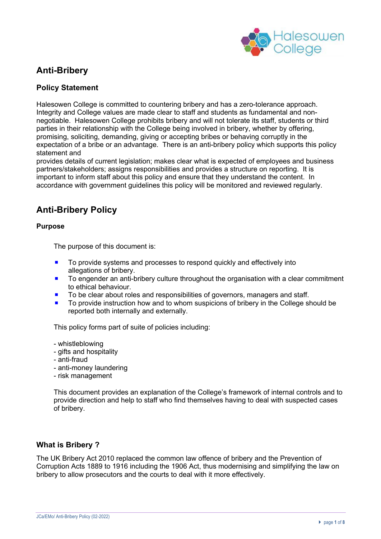

# **Anti-Bribery**

## **Policy Statement**

Halesowen College is committed to countering bribery and has a zero-tolerance approach. Integrity and College values are made clear to staff and students as fundamental and nonnegotiable. Halesowen College prohibits bribery and will not tolerate its staff, students or third parties in their relationship with the College being involved in bribery, whether by offering, promising, soliciting, demanding, giving or accepting bribes or behaving corruptly in the expectation of a bribe or an advantage. There is an anti-bribery policy which supports this policy statement and

provides details of current legislation; makes clear what is expected of employees and business partners/stakeholders; assigns responsibilities and provides a structure on reporting. It is important to inform staff about this policy and ensure that they understand the content. In accordance with government guidelines this policy will be monitored and reviewed regularly.

# **Anti-Bribery Policy**

#### **Purpose**

The purpose of this document is:

- To provide systems and processes to respond quickly and effectively into allegations of bribery.
- To engender an anti-bribery culture throughout the organisation with a clear commitment to ethical behaviour.
- To be clear about roles and responsibilities of governors, managers and staff.
- To provide instruction how and to whom suspicions of bribery in the College should be reported both internally and externally.

This policy forms part of suite of policies including:

- whistleblowing
- gifts and hospitality
- anti-fraud
- anti-money laundering
- risk management

This document provides an explanation of the College's framework of internal controls and to provide direction and help to staff who find themselves having to deal with suspected cases of bribery.

## **What is Bribery ?**

The UK Bribery Act 2010 replaced the common law offence of bribery and the Prevention of Corruption Acts 1889 to 1916 including the 1906 Act, thus modernising and simplifying the law on bribery to allow prosecutors and the courts to deal with it more effectively.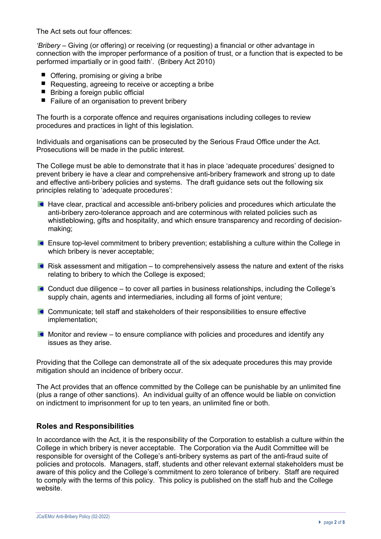The Act sets out four offences:

*'Bribery* – Giving (or offering) or receiving (or requesting) a financial or other advantage in connection with the improper performance of a position of trust, or a function that is expected to be performed impartially or in good faith'. (Bribery Act 2010)

- Offering, promising or giving a bribe
- Requesting, agreeing to receive or accepting a bribe
- $\blacksquare$  Bribing a foreign public official
- Failure of an organisation to prevent bribery

The fourth is a corporate offence and requires organisations including colleges to review procedures and practices in light of this legislation.

Individuals and organisations can be prosecuted by the Serious Fraud Office under the Act. Prosecutions will be made in the public interest.

The College must be able to demonstrate that it has in place 'adequate procedures' designed to prevent bribery ie have a clear and comprehensive anti-bribery framework and strong up to date and effective anti-bribery policies and systems. The draft guidance sets out the following six principles relating to 'adequate procedures':

- **Have clear, practical and accessible anti-bribery policies and procedures which articulate the** anti-bribery zero-tolerance approach and are coterminous with related policies such as whistleblowing, gifts and hospitality, and which ensure transparency and recording of decisionmaking;
- Ensure top-level commitment to bribery prevention; establishing a culture within the College in which bribery is never acceptable;
- Risk assessment and mitigation to comprehensively assess the nature and extent of the risks relating to bribery to which the College is exposed;
- Conduct due diligence to cover all parties in business relationships, including the College's supply chain, agents and intermediaries, including all forms of joint venture;
- **Communicate; tell staff and stakeholders of their responsibilities to ensure effective** implementation;
- $\blacksquare$  Monitor and review to ensure compliance with policies and procedures and identify any issues as they arise.

Providing that the College can demonstrate all of the six adequate procedures this may provide mitigation should an incidence of bribery occur.

The Act provides that an offence committed by the College can be punishable by an unlimited fine (plus a range of other sanctions). An individual guilty of an offence would be liable on conviction on indictment to imprisonment for up to ten years, an unlimited fine or both.

#### **Roles and Responsibilities**

In accordance with the Act, it is the responsibility of the Corporation to establish a culture within the College in which bribery is never acceptable. The Corporation via the Audit Committee will be responsible for oversight of the College's anti-bribery systems as part of the anti-fraud suite of policies and protocols. Managers, staff, students and other relevant external stakeholders must be aware of this policy and the College's commitment to zero tolerance of bribery. Staff are required to comply with the terms of this policy. This policy is published on the staff hub and the College website.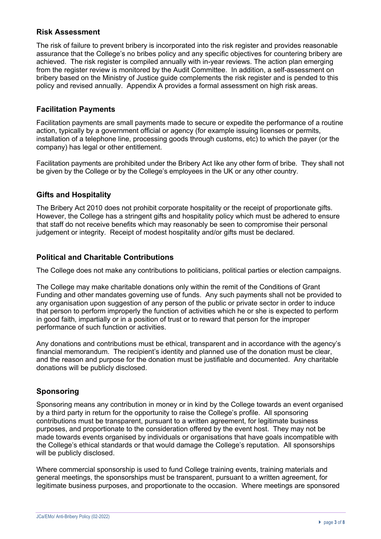#### **Risk Assessment**

The risk of failure to prevent bribery is incorporated into the risk register and provides reasonable assurance that the College's no bribes policy and any specific objectives for countering bribery are achieved. The risk register is compiled annually with in-year reviews. The action plan emerging from the register review is monitored by the Audit Committee. In addition, a self-assessment on bribery based on the Ministry of Justice guide complements the risk register and is pended to this policy and revised annually. Appendix A provides a formal assessment on high risk areas.

## **Facilitation Payments**

Facilitation payments are small payments made to secure or expedite the performance of a routine action, typically by a government official or agency (for example issuing licenses or permits, installation of a telephone line, processing goods through customs, etc) to which the payer (or the company) has legal or other entitlement.

Facilitation payments are prohibited under the Bribery Act like any other form of bribe. They shall not be given by the College or by the College's employees in the UK or any other country.

## **Gifts and Hospitality**

The Bribery Act 2010 does not prohibit corporate hospitality or the receipt of proportionate gifts. However, the College has a stringent gifts and hospitality policy which must be adhered to ensure that staff do not receive benefits which may reasonably be seen to compromise their personal judgement or integrity. Receipt of modest hospitality and/or gifts must be declared.

## **Political and Charitable Contributions**

The College does not make any contributions to politicians, political parties or election campaigns.

The College may make charitable donations only within the remit of the Conditions of Grant Funding and other mandates governing use of funds. Any such payments shall not be provided to any organisation upon suggestion of any person of the public or private sector in order to induce that person to perform improperly the function of activities which he or she is expected to perform in good faith, impartially or in a position of trust or to reward that person for the improper performance of such function or activities.

Any donations and contributions must be ethical, transparent and in accordance with the agency's financial memorandum. The recipient's identity and planned use of the donation must be clear, and the reason and purpose for the donation must be justifiable and documented. Any charitable donations will be publicly disclosed.

## **Sponsoring**

Sponsoring means any contribution in money or in kind by the College towards an event organised by a third party in return for the opportunity to raise the College's profile. All sponsoring contributions must be transparent, pursuant to a written agreement, for legitimate business purposes, and proportionate to the consideration offered by the event host. They may not be made towards events organised by individuals or organisations that have goals incompatible with the College's ethical standards or that would damage the College's reputation. All sponsorships will be publicly disclosed.

Where commercial sponsorship is used to fund College training events, training materials and general meetings, the sponsorships must be transparent, pursuant to a written agreement, for legitimate business purposes, and proportionate to the occasion. Where meetings are sponsored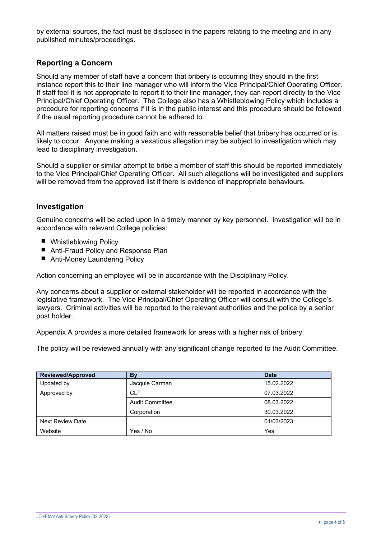by external sources, the fact must be disclosed in the papers relating to the meeting and in any published minutes/proceedings.

## **Reporting a Concern**

Should any member of staff have a concern that bribery is occurring they should in the first instance report this to their line manager who will inform the Vice Principal/Chief Operating Officer. If staff feel it is not appropriate to report it to their line manager, they can report directly to the Vice Principal/Chief Operating Officer. The College also has a Whistleblowing Policy which includes a procedure for reporting concerns if it is in the public interest and this procedure should be followed if the usual reporting procedure cannot be adhered to.

All matters raised must be in good faith and with reasonable belief that bribery has occurred or is likely to occur. Anyone making a vexatious allegation may be subject to investigation which may lead to disciplinary investigation.

Should a supplier or similar attempt to bribe a member of staff this should be reported immediately to the Vice Principal/Chief Operating Officer. All such allegations will be investigated and suppliers will be removed from the approved list if there is evidence of inappropriate behaviours.

## **Investigation**

Genuine concerns will be acted upon in a timely manner by key personnel. Investigation will be in accordance with relevant College policies:

- Whistleblowing Policy
- Anti-Fraud Policy and Response Plan
- Anti-Money Laundering Policy

Action concerning an employee will be in accordance with the Disciplinary Policy.

Any concerns about a supplier or external stakeholder will be reported in accordance with the legislative framework. The Vice Principal/Chief Operating Officer will consult with the College's lawyers. Criminal activities will be reported to the relevant authorities and the police by a senior post holder.

Appendix A provides a more detailed framework for areas with a higher risk of bribery.

The policy will be reviewed annually with any significant change reported to the Audit Committee.

| Reviewed/Approved       | By                     | <b>Date</b> |
|-------------------------|------------------------|-------------|
| Updated by              | Jacquie Carman         | 15.02.2022  |
| Approved by             | <b>CLT</b>             | 07.03.2022  |
|                         | <b>Audit Committee</b> | 08.03.2022  |
|                         | Corporation            | 30.03.2022  |
| <b>Next Review Date</b> |                        | 01/03/2023  |
| Website                 | Yes / No               | Yes         |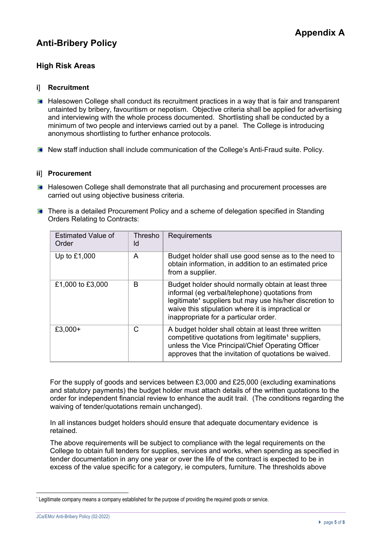# **Anti-Bribery Policy**

## **High Risk Areas**

#### **i**] **Recruitment**

- **Halesowen College shall conduct its recruitment practices in a way that is fair and transparent** untainted by bribery, favouritism or nepotism. Objective criteria shall be applied for advertising and interviewing with the whole process documented. Shortlisting shall be conducted by a minimum of two people and interviews carried out by a panel. The College is introducing anonymous shortlisting to further enhance protocols.
- **New staff induction shall include communication of the College's Anti-Fraud suite. Policy.**

#### **ii**] **Procurement**

- **Halesowen College shall demonstrate that all purchasing and procurement processes are** carried out using objective business criteria.
- **There is a detailed Procurement Policy and a scheme of delegation specified in Standing** Orders Relating to Contracts:

| <b>Estimated Value of</b><br>Order | Thresho<br>ld | Requirements                                                                                                                                                                                                                                                               |
|------------------------------------|---------------|----------------------------------------------------------------------------------------------------------------------------------------------------------------------------------------------------------------------------------------------------------------------------|
| Up to £1,000                       | A             | Budget holder shall use good sense as to the need to<br>obtain information, in addition to an estimated price<br>from a supplier.                                                                                                                                          |
| £1,000 to £3,000                   | B             | Budget holder should normally obtain at least three<br>informal (eg verbal/telephone) quotations from<br>legitimate <sup>1</sup> suppliers but may use his/her discretion to<br>waive this stipulation where it is impractical or<br>inappropriate for a particular order. |
| $£3,000+$                          | C             | A budget holder shall obtain at least three written<br>competitive quotations from legitimate <sup>1</sup> suppliers,<br>unless the Vice Principal/Chief Operating Officer<br>approves that the invitation of quotations be waived.                                        |

For the supply of goods and services between £3,000 and £25,000 (excluding examinations and statutory payments) the budget holder must attach details of the written quotations to the order for independent financial review to enhance the audit trail. (The conditions regarding the waiving of tender/quotations remain unchanged).

In all instances budget holders should ensure that adequate documentary evidence is retained.

The above requirements will be subject to compliance with the legal requirements on the College to obtain full tenders for supplies, services and works, when spending as specified in tender documentation in any one year or over the life of the contract is expected to be in excess of the value specific for a category, ie computers, furniture. The thresholds above

<sup>&#</sup>x27; Legitimate company means a company established for the purpose of providing the required goods or service.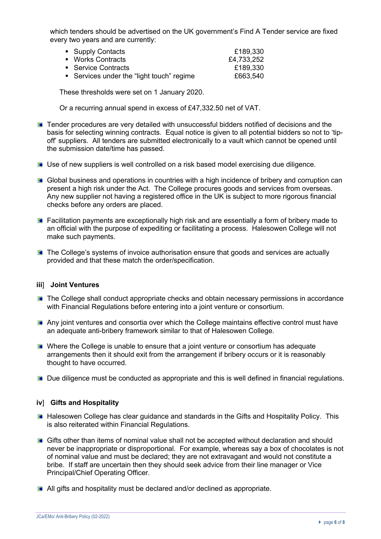which tenders should be advertised on the UK government's Find A Tender service are fixed every two years and are currently:

| • Supply Contacts                         | £189,330   |
|-------------------------------------------|------------|
| • Works Contracts                         | £4,733,252 |
| • Service Contracts                       | £189,330   |
| ■ Services under the "light touch" regime | £663,540   |

These thresholds were set on 1 January 2020.

Or a recurring annual spend in excess of £47,332.50 net of VAT.

- **Tender procedures are very detailed with unsuccessful bidders notified of decisions and the** basis for selecting winning contracts. Equal notice is given to all potential bidders so not to 'tipoff' suppliers. All tenders are submitted electronically to a vault which cannot be opened until the submission date/time has passed.
- Use of new suppliers is well controlled on a risk based model exercising due diligence.
- Global business and operations in countries with a high incidence of bribery and corruption can present a high risk under the Act. The College procures goods and services from overseas. Any new supplier not having a registered office in the UK is subject to more rigorous financial checks before any orders are placed.
- **Facilitation payments are exceptionally high risk and are essentially a form of bribery made to** an official with the purpose of expediting or facilitating a process. Halesowen College will not make such payments.
- **The College's systems of invoice authorisation ensure that goods and services are actually** provided and that these match the order/specification.

#### **iii**] **Joint Ventures**

- **The College shall conduct appropriate checks and obtain necessary permissions in accordance** with Financial Regulations before entering into a joint venture or consortium.
- Any joint ventures and consortia over which the College maintains effective control must have an adequate anti-bribery framework similar to that of Halesowen College.
- **In Where the College is unable to ensure that a joint venture or consortium has adequate** arrangements then it should exit from the arrangement if bribery occurs or it is reasonably thought to have occurred.
- **Due diligence must be conducted as appropriate and this is well defined in financial regulations.**

#### **iv**] **Gifts and Hospitality**

- **Halesowen College has clear guidance and standards in the Gifts and Hospitality Policy. This** is also reiterated within Financial Regulations.
- Gifts other than items of nominal value shall not be accepted without declaration and should never be inappropriate or disproportional. For example, whereas say a box of chocolates is not of nominal value and must be declared; they are not extravagant and would not constitute a bribe. If staff are uncertain then they should seek advice from their line manager or Vice Principal/Chief Operating Officer.
- All gifts and hospitality must be declared and/or declined as appropriate.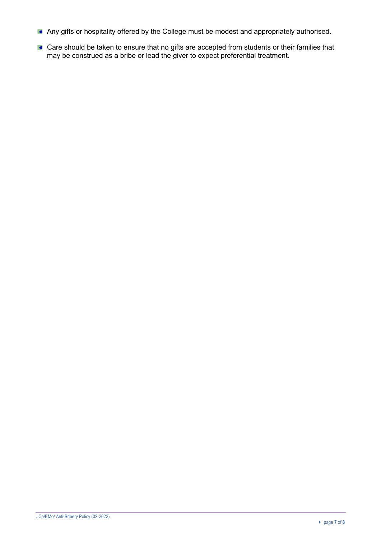- Any gifts or hospitality offered by the College must be modest and appropriately authorised.
- **Care should be taken to ensure that no gifts are accepted from students or their families that** may be construed as a bribe or lead the giver to expect preferential treatment.